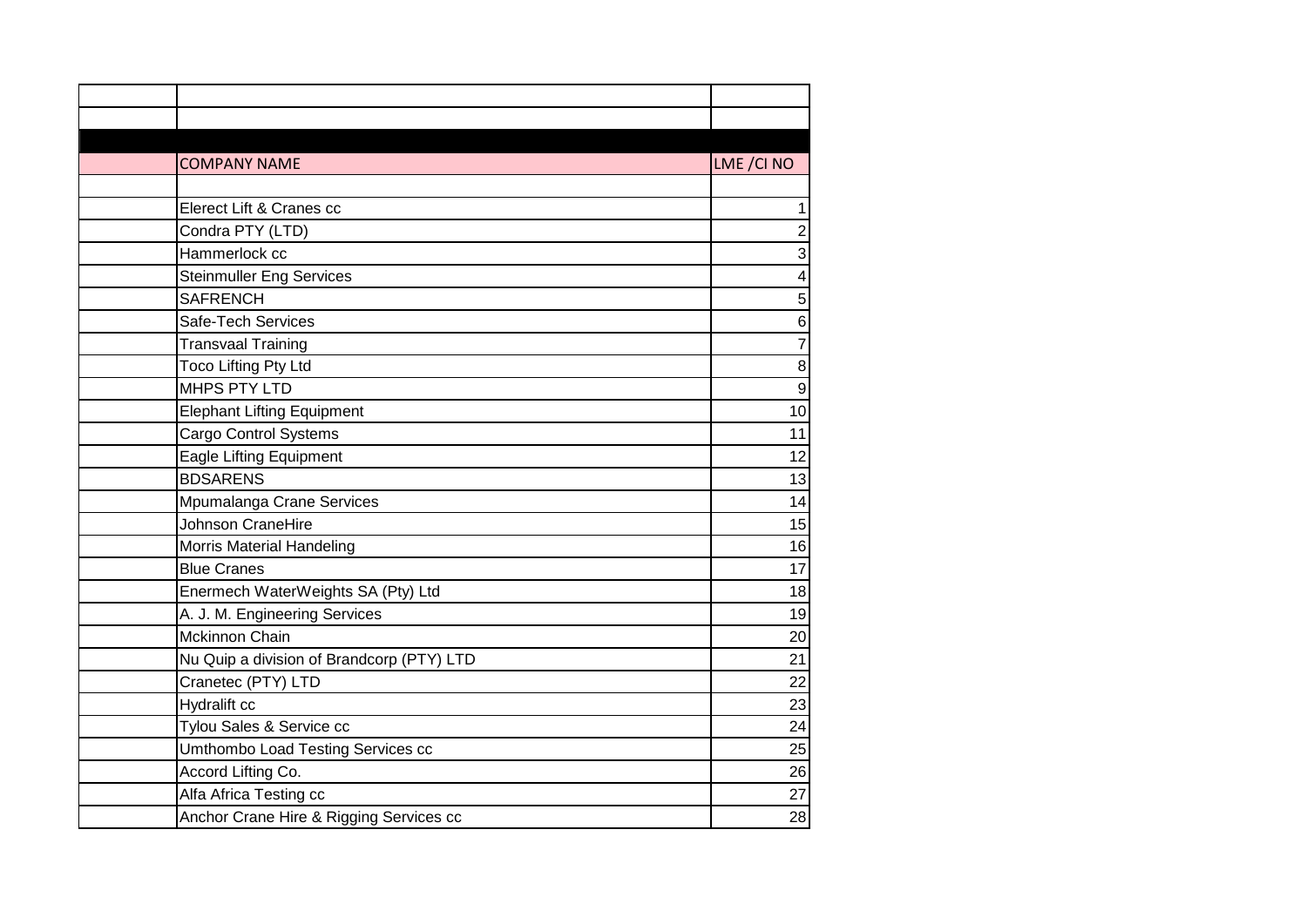| <b>COMPANY NAME</b>                       | LME / CI NO              |
|-------------------------------------------|--------------------------|
|                                           |                          |
| Elerect Lift & Cranes cc                  | $\mathbf 1$              |
| Condra PTY (LTD)                          | $\overline{c}$           |
| Hammerlock cc                             | 3                        |
| <b>Steinmuller Eng Services</b>           | $\overline{\mathcal{A}}$ |
| <b>SAFRENCH</b>                           | 5                        |
| Safe-Tech Services                        | $\overline{6}$           |
| <b>Transvaal Training</b>                 | $\overline{7}$           |
| <b>Toco Lifting Pty Ltd</b>               | 8                        |
| MHPS PTY LTD                              | 9                        |
| <b>Elephant Lifting Equipment</b>         | 10                       |
| <b>Cargo Control Systems</b>              | 11                       |
| <b>Eagle Lifting Equipment</b>            | 12                       |
| <b>BDSARENS</b>                           | 13                       |
| Mpumalanga Crane Services                 | 14                       |
| Johnson CraneHire                         | 15                       |
| <b>Morris Material Handeling</b>          | 16                       |
| <b>Blue Cranes</b>                        | 17                       |
| Enermech WaterWeights SA (Pty) Ltd        | 18                       |
| A. J. M. Engineering Services             | 19                       |
| <b>Mckinnon Chain</b>                     | 20                       |
| Nu Quip a division of Brandcorp (PTY) LTD | 21                       |
| Cranetec (PTY) LTD                        | 22                       |
| Hydralift cc                              | 23                       |
| Tylou Sales & Service cc                  | 24                       |
| Umthombo Load Testing Services cc         | 25                       |
| Accord Lifting Co.                        | 26                       |
| Alfa Africa Testing cc                    | 27                       |
| Anchor Crane Hire & Rigging Services cc   | 28                       |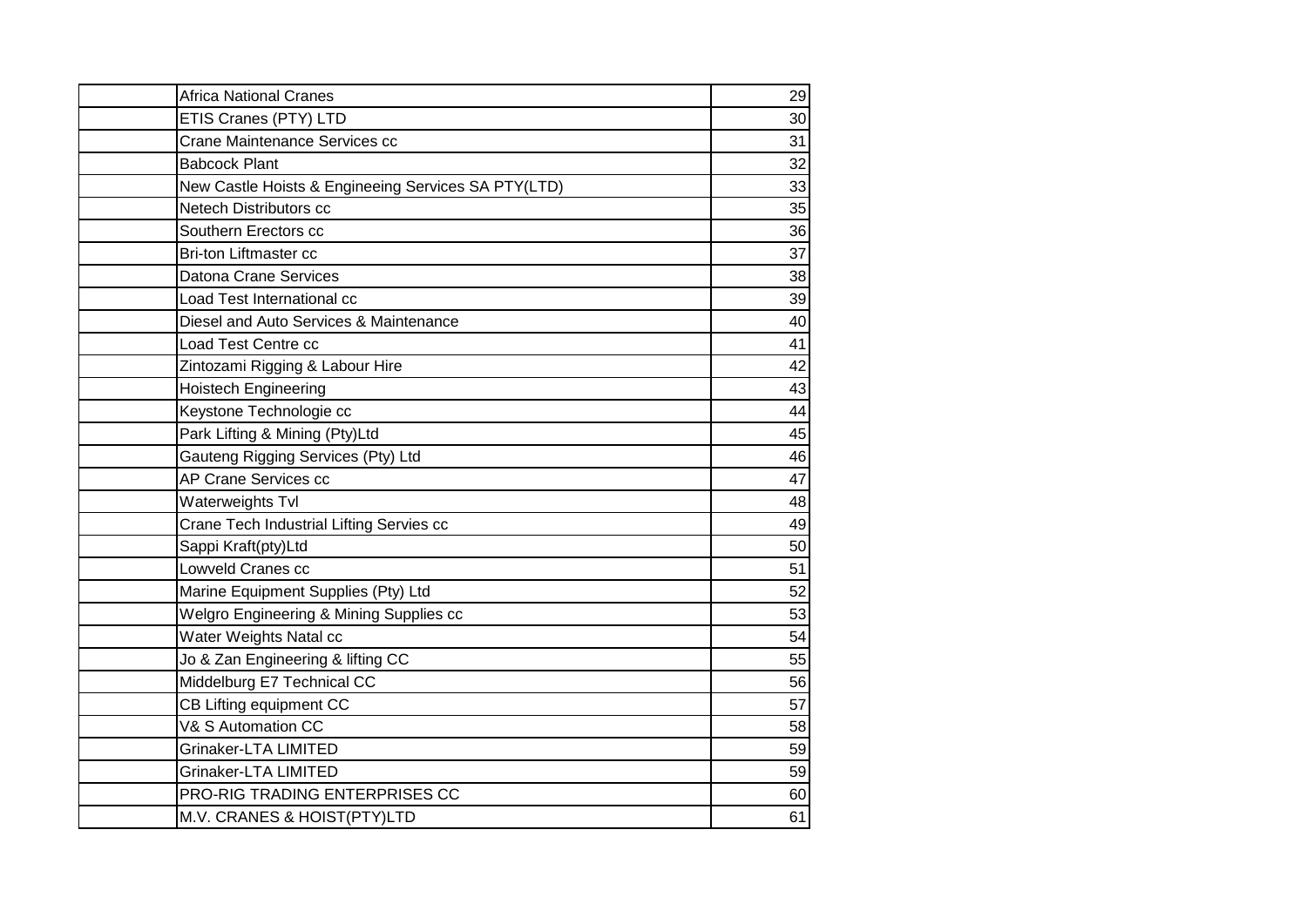| <b>Africa National Cranes</b>                       | 29 |
|-----------------------------------------------------|----|
| ETIS Cranes (PTY) LTD                               | 30 |
| Crane Maintenance Services cc                       | 31 |
| <b>Babcock Plant</b>                                | 32 |
| New Castle Hoists & Engineeing Services SA PTY(LTD) | 33 |
| Netech Distributors cc                              | 35 |
| Southern Erectors cc                                | 36 |
| <b>Bri-ton Liftmaster cc</b>                        | 37 |
| Datona Crane Services                               | 38 |
| Load Test International cc                          | 39 |
| Diesel and Auto Services & Maintenance              | 40 |
| Load Test Centre cc                                 | 41 |
| Zintozami Rigging & Labour Hire                     | 42 |
| <b>Hoistech Engineering</b>                         | 43 |
| Keystone Technologie cc                             | 44 |
| Park Lifting & Mining (Pty)Ltd                      | 45 |
| Gauteng Rigging Services (Pty) Ltd                  | 46 |
| AP Crane Services cc                                | 47 |
| Waterweights Tvl                                    | 48 |
| Crane Tech Industrial Lifting Servies cc            | 49 |
| Sappi Kraft(pty)Ltd                                 | 50 |
| Lowveld Cranes cc                                   | 51 |
| Marine Equipment Supplies (Pty) Ltd                 | 52 |
| Welgro Engineering & Mining Supplies cc             | 53 |
| Water Weights Natal cc                              | 54 |
| Jo & Zan Engineering & lifting CC                   | 55 |
| Middelburg E7 Technical CC                          | 56 |
| CB Lifting equipment CC                             | 57 |
| V& S Automation CC                                  | 58 |
| Grinaker-LTA LIMITED                                | 59 |
| <b>Grinaker-LTA LIMITED</b>                         | 59 |
| PRO-RIG TRADING ENTERPRISES CC                      | 60 |
| M.V. CRANES & HOIST(PTY)LTD                         | 61 |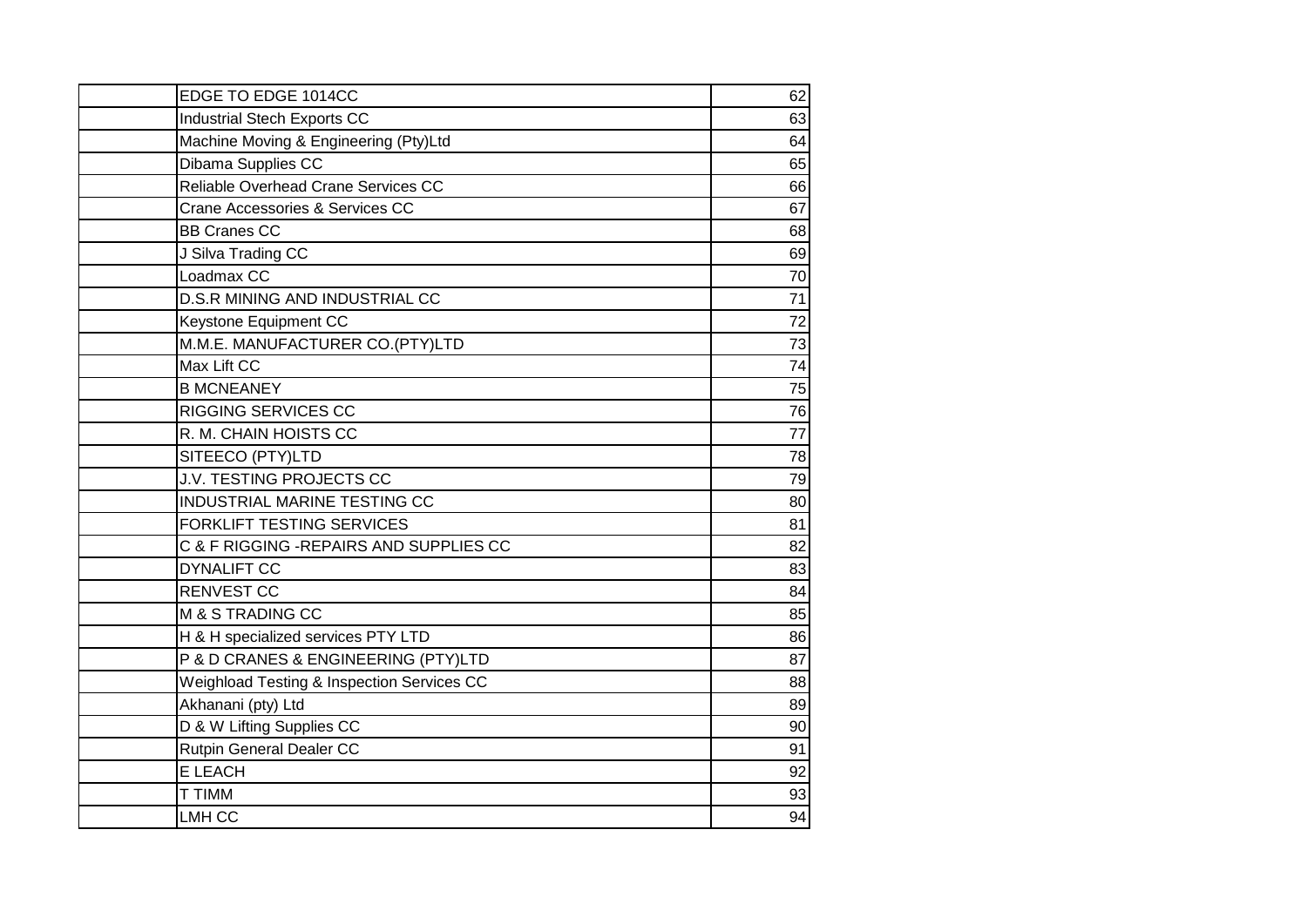| EDGE TO EDGE 1014CC                        | 62 |
|--------------------------------------------|----|
| Industrial Stech Exports CC                | 63 |
| Machine Moving & Engineering (Pty)Ltd      | 64 |
| Dibama Supplies CC                         | 65 |
| Reliable Overhead Crane Services CC        | 66 |
| Crane Accessories & Services CC            | 67 |
| <b>BB Cranes CC</b>                        | 68 |
| J Silva Trading CC                         | 69 |
| Loadmax CC                                 | 70 |
| D.S.R MINING AND INDUSTRIAL CC             | 71 |
| Keystone Equipment CC                      | 72 |
| M.M.E. MANUFACTURER CO.(PTY)LTD            | 73 |
| Max Lift CC                                | 74 |
| <b>B MCNEANEY</b>                          | 75 |
| <b>RIGGING SERVICES CC</b>                 | 76 |
| R. M. CHAIN HOISTS CC                      | 77 |
| SITEECO (PTY)LTD                           | 78 |
| <b>J.V. TESTING PROJECTS CC</b>            | 79 |
| INDUSTRIAL MARINE TESTING CC               | 80 |
| <b>FORKLIFT TESTING SERVICES</b>           | 81 |
| C & F RIGGING -REPAIRS AND SUPPLIES CC     | 82 |
| <b>DYNALIFT CC</b>                         | 83 |
| <b>RENVEST CC</b>                          | 84 |
| M & S TRADING CC                           | 85 |
| H & H specialized services PTY LTD         | 86 |
| P & D CRANES & ENGINEERING (PTY)LTD        | 87 |
| Weighload Testing & Inspection Services CC | 88 |
| Akhanani (pty) Ltd                         | 89 |
| D & W Lifting Supplies CC                  | 90 |
| Rutpin General Dealer CC                   | 91 |
| E LEACH                                    | 92 |
| T TIMM                                     | 93 |
| LMH CC                                     | 94 |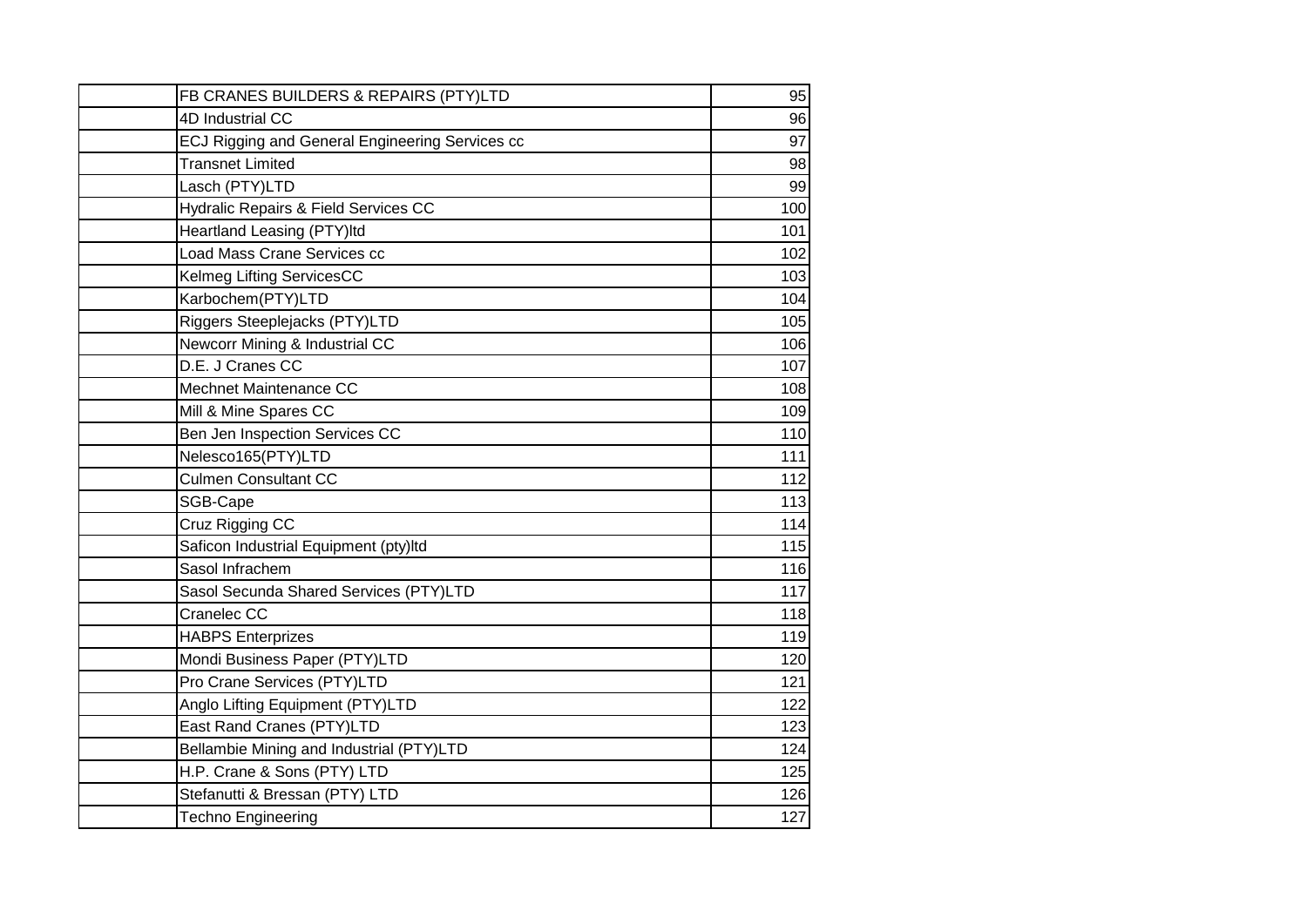| FB CRANES BUILDERS & REPAIRS (PTY)LTD                     | 95  |
|-----------------------------------------------------------|-----|
| 4D Industrial CC                                          | 96  |
| ECJ Rigging and General Engineering Services cc           | 97  |
| <b>Transnet Limited</b>                                   | 98  |
| Lasch (PTY)LTD                                            | 99  |
|                                                           | 100 |
| Hydralic Repairs & Field Services CC                      |     |
| Heartland Leasing (PTY)ltd<br>Load Mass Crane Services cc | 101 |
|                                                           | 102 |
| Kelmeg Lifting ServicesCC                                 | 103 |
| Karbochem(PTY)LTD                                         | 104 |
| Riggers Steeplejacks (PTY)LTD                             | 105 |
| Newcorr Mining & Industrial CC<br>D.E. J Cranes CC        | 106 |
| Mechnet Maintenance CC                                    | 107 |
|                                                           | 108 |
| Mill & Mine Spares CC                                     | 109 |
| Ben Jen Inspection Services CC                            | 110 |
| Nelesco165(PTY)LTD                                        | 111 |
| <b>Culmen Consultant CC</b>                               | 112 |
| SGB-Cape                                                  | 113 |
| Cruz Rigging CC                                           | 114 |
| Saficon Industrial Equipment (pty)Itd                     | 115 |
| Sasol Infrachem                                           | 116 |
| Sasol Secunda Shared Services (PTY)LTD                    | 117 |
| Cranelec CC                                               | 118 |
| <b>HABPS Enterprizes</b>                                  | 119 |
| Mondi Business Paper (PTY)LTD                             | 120 |
| Pro Crane Services (PTY)LTD                               | 121 |
| Anglo Lifting Equipment (PTY)LTD                          | 122 |
| East Rand Cranes (PTY)LTD                                 | 123 |
| Bellambie Mining and Industrial (PTY)LTD                  | 124 |
| H.P. Crane & Sons (PTY) LTD                               | 125 |
| Stefanutti & Bressan (PTY) LTD                            | 126 |
| <b>Techno Engineering</b>                                 | 127 |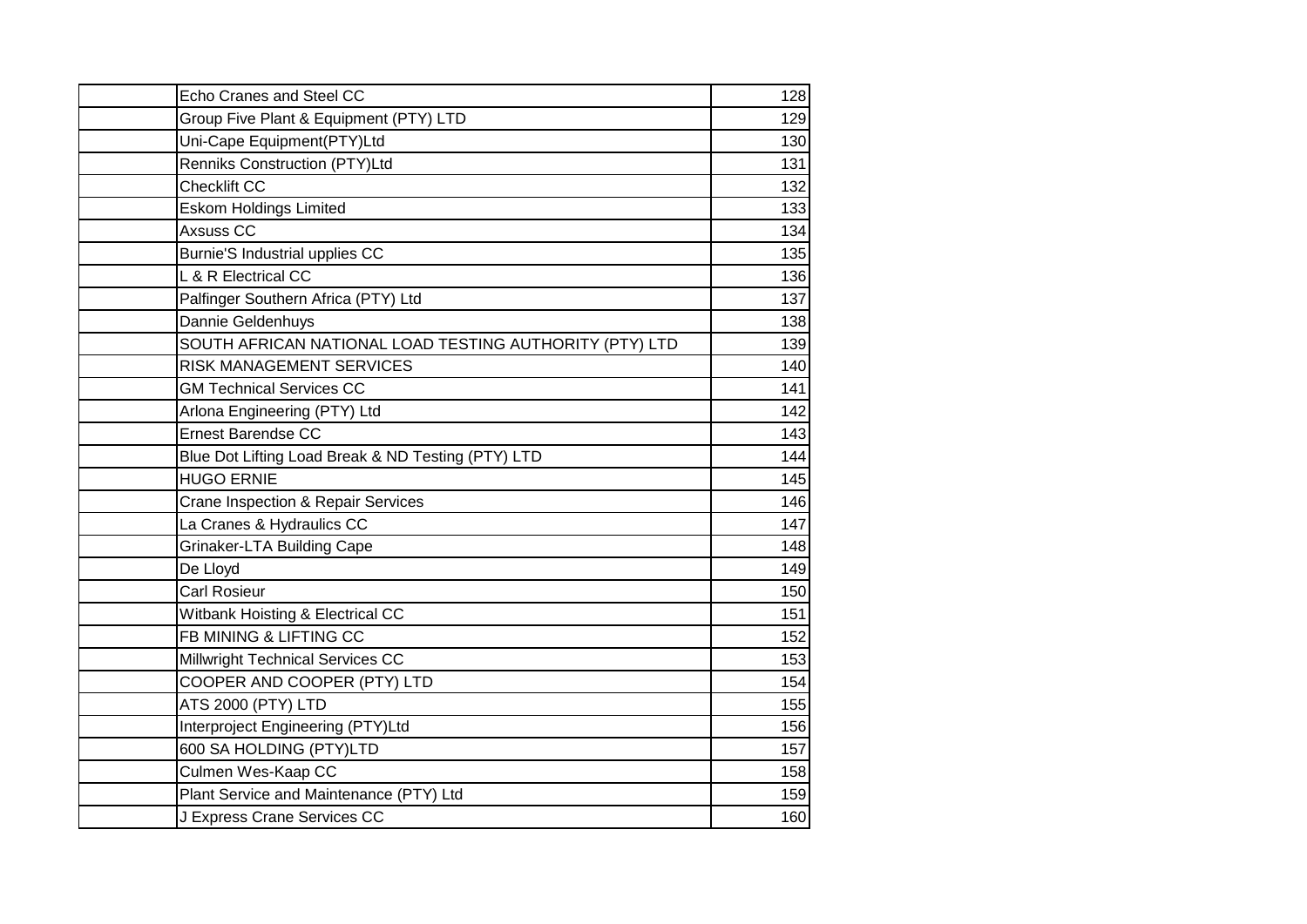| Echo Cranes and Steel CC                                | 128 |
|---------------------------------------------------------|-----|
| Group Five Plant & Equipment (PTY) LTD                  | 129 |
| Uni-Cape Equipment(PTY)Ltd                              | 130 |
| Renniks Construction (PTY)Ltd                           | 131 |
| Checklift CC                                            | 132 |
| <b>Eskom Holdings Limited</b>                           | 133 |
| Axsuss CC                                               | 134 |
| Burnie'S Industrial upplies CC                          | 135 |
| L & R Electrical CC                                     | 136 |
| Palfinger Southern Africa (PTY) Ltd                     | 137 |
| Dannie Geldenhuys                                       | 138 |
| SOUTH AFRICAN NATIONAL LOAD TESTING AUTHORITY (PTY) LTD | 139 |
| <b>RISK MANAGEMENT SERVICES</b>                         | 140 |
| <b>GM Technical Services CC</b>                         | 141 |
| Arlona Engineering (PTY) Ltd                            | 142 |
| <b>Ernest Barendse CC</b>                               | 143 |
| Blue Dot Lifting Load Break & ND Testing (PTY) LTD      | 144 |
| <b>HUGO ERNIE</b>                                       | 145 |
| Crane Inspection & Repair Services                      | 146 |
| La Cranes & Hydraulics CC                               | 147 |
| <b>Grinaker-LTA Building Cape</b>                       | 148 |
| De Lloyd                                                | 149 |
| <b>Carl Rosieur</b>                                     | 150 |
| Witbank Hoisting & Electrical CC                        | 151 |
| FB MINING & LIFTING CC                                  | 152 |
| Millwright Technical Services CC                        | 153 |
| COOPER AND COOPER (PTY) LTD                             | 154 |
| ATS 2000 (PTY) LTD                                      | 155 |
| Interproject Engineering (PTY)Ltd                       | 156 |
| 600 SA HOLDING (PTY)LTD                                 | 157 |
| Culmen Wes-Kaap CC                                      | 158 |
| Plant Service and Maintenance (PTY) Ltd                 | 159 |
| J Express Crane Services CC                             | 160 |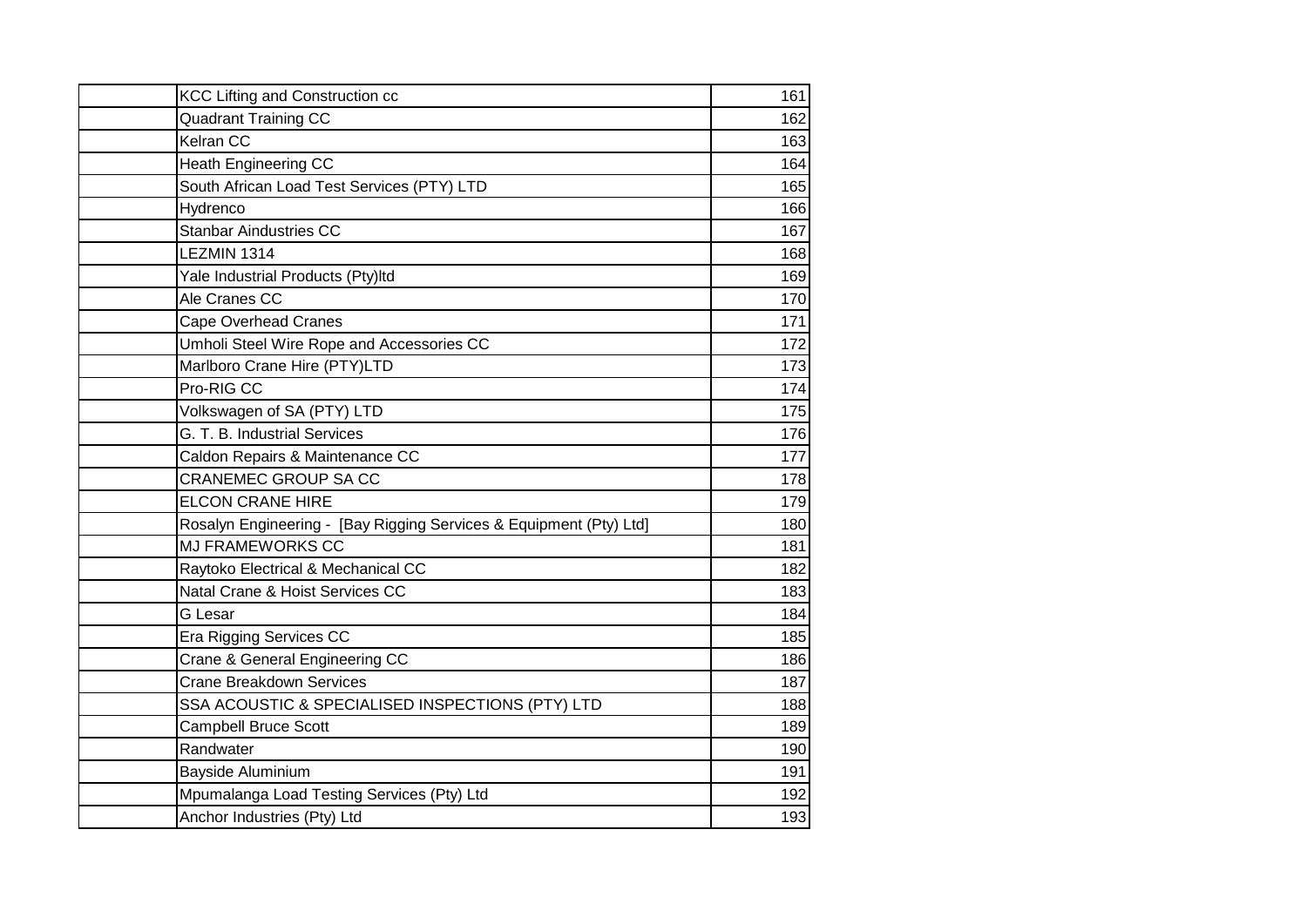| KCC Lifting and Construction cc                                    | 161 |
|--------------------------------------------------------------------|-----|
| <b>Quadrant Training CC</b>                                        | 162 |
| Kelran CC                                                          | 163 |
| <b>Heath Engineering CC</b>                                        | 164 |
| South African Load Test Services (PTY) LTD                         | 165 |
| Hydrenco                                                           | 166 |
| <b>Stanbar Aindustries CC</b>                                      | 167 |
| LEZMIN 1314                                                        | 168 |
| Yale Industrial Products (Pty)Itd                                  | 169 |
| Ale Cranes CC                                                      | 170 |
| <b>Cape Overhead Cranes</b>                                        | 171 |
| Umholi Steel Wire Rope and Accessories CC                          | 172 |
| Marlboro Crane Hire (PTY)LTD                                       | 173 |
| Pro-RIG CC                                                         | 174 |
| Volkswagen of SA (PTY) LTD                                         | 175 |
| G. T. B. Industrial Services                                       | 176 |
| Caldon Repairs & Maintenance CC                                    | 177 |
| <b>CRANEMEC GROUP SA CC</b>                                        | 178 |
| <b>ELCON CRANE HIRE</b>                                            | 179 |
| Rosalyn Engineering - [Bay Rigging Services & Equipment (Pty) Ltd] | 180 |
| <b>MJ FRAMEWORKS CC</b>                                            | 181 |
| Raytoko Electrical & Mechanical CC                                 | 182 |
| Natal Crane & Hoist Services CC                                    | 183 |
| G Lesar                                                            | 184 |
| Era Rigging Services CC                                            | 185 |
| Crane & General Engineering CC                                     | 186 |
| <b>Crane Breakdown Services</b>                                    | 187 |
| SSA ACOUSTIC & SPECIALISED INSPECTIONS (PTY) LTD                   | 188 |
| <b>Campbell Bruce Scott</b>                                        | 189 |
| Randwater                                                          | 190 |
| Bayside Aluminium                                                  | 191 |
| Mpumalanga Load Testing Services (Pty) Ltd                         | 192 |
| Anchor Industries (Pty) Ltd                                        | 193 |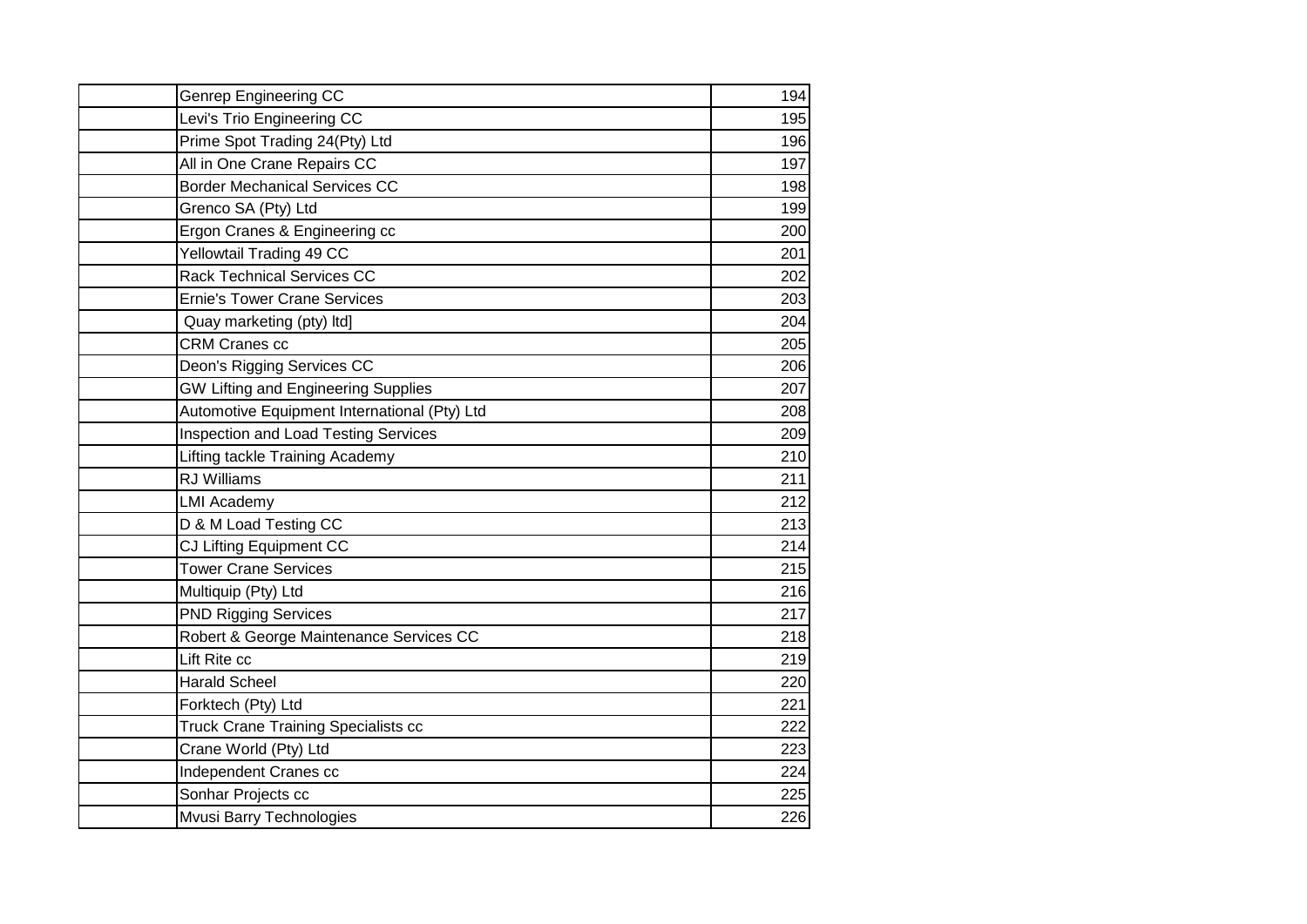| <b>Genrep Engineering CC</b>                 | 194 |
|----------------------------------------------|-----|
| Levi's Trio Engineering CC                   | 195 |
| Prime Spot Trading 24(Pty) Ltd               | 196 |
| All in One Crane Repairs CC                  | 197 |
| <b>Border Mechanical Services CC</b>         | 198 |
| Grenco SA (Pty) Ltd                          | 199 |
| Ergon Cranes & Engineering cc                | 200 |
| Yellowtail Trading 49 CC                     | 201 |
| <b>Rack Technical Services CC</b>            | 202 |
| <b>Ernie's Tower Crane Services</b>          | 203 |
| Quay marketing (pty) Itd]                    | 204 |
| <b>CRM Cranes cc</b>                         | 205 |
| Deon's Rigging Services CC                   | 206 |
| <b>GW Lifting and Engineering Supplies</b>   | 207 |
| Automotive Equipment International (Pty) Ltd | 208 |
| <b>Inspection and Load Testing Services</b>  | 209 |
| Lifting tackle Training Academy              | 210 |
| <b>RJ</b> Williams                           | 211 |
| <b>LMI Academy</b>                           | 212 |
| D & M Load Testing CC                        | 213 |
| CJ Lifting Equipment CC                      | 214 |
| <b>Tower Crane Services</b>                  | 215 |
| Multiquip (Pty) Ltd                          | 216 |
| <b>PND Rigging Services</b>                  | 217 |
| Robert & George Maintenance Services CC      | 218 |
| Lift Rite cc                                 | 219 |
| <b>Harald Scheel</b>                         | 220 |
| Forktech (Pty) Ltd                           | 221 |
| <b>Truck Crane Training Specialists cc</b>   | 222 |
| Crane World (Pty) Ltd                        | 223 |
| Independent Cranes cc                        | 224 |
| Sonhar Projects cc                           | 225 |
| Mvusi Barry Technologies                     | 226 |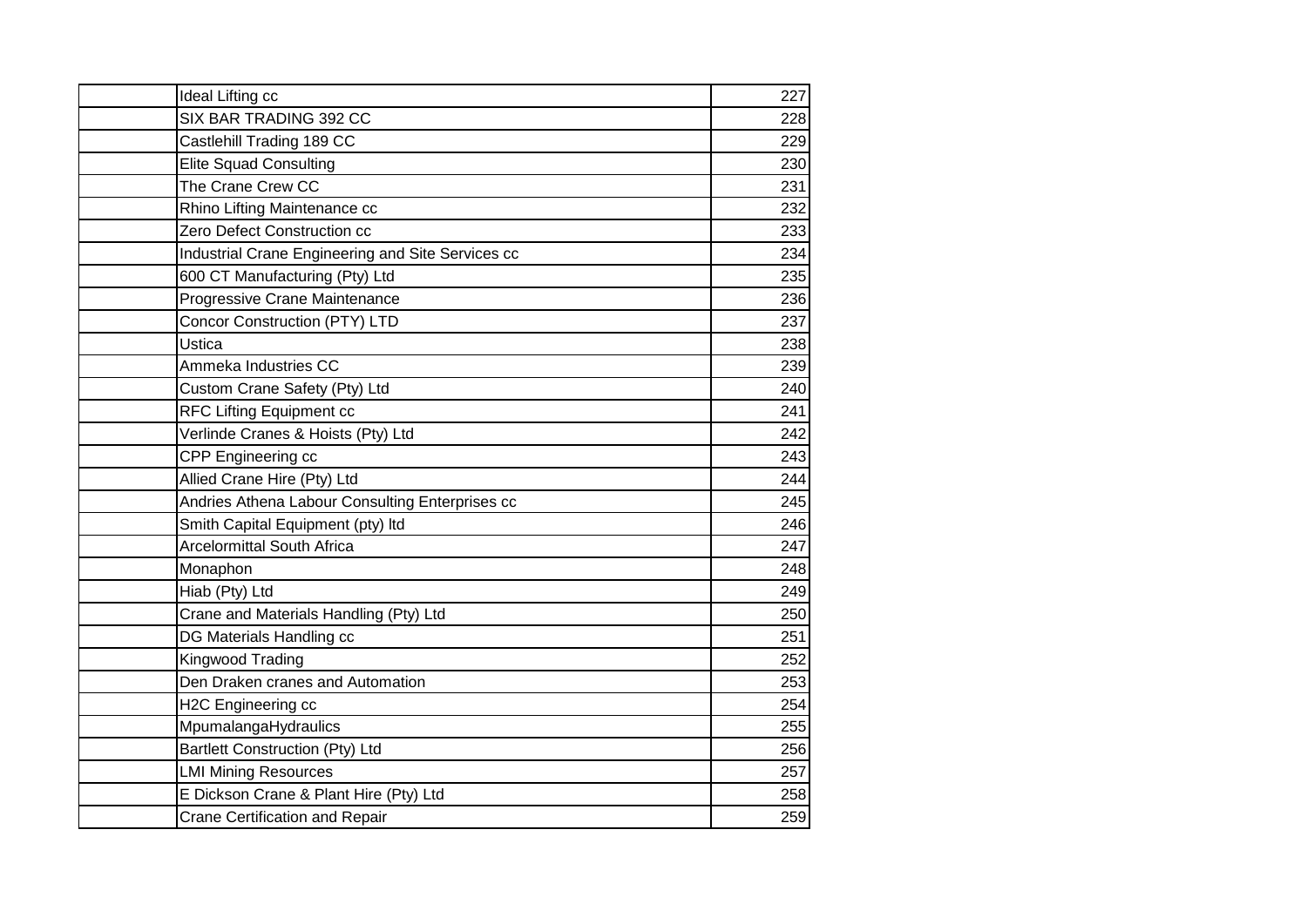| Ideal Lifting cc                                  | 227 |
|---------------------------------------------------|-----|
| SIX BAR TRADING 392 CC                            | 228 |
| Castlehill Trading 189 CC                         | 229 |
| <b>Elite Squad Consulting</b>                     | 230 |
| The Crane Crew CC                                 | 231 |
| Rhino Lifting Maintenance cc                      | 232 |
| Zero Defect Construction cc                       | 233 |
| Industrial Crane Engineering and Site Services cc | 234 |
| 600 CT Manufacturing (Pty) Ltd                    | 235 |
| Progressive Crane Maintenance                     | 236 |
| <b>Concor Construction (PTY) LTD</b>              | 237 |
| Ustica                                            | 238 |
| Ammeka Industries CC                              | 239 |
| Custom Crane Safety (Pty) Ltd                     | 240 |
| RFC Lifting Equipment cc                          | 241 |
| Verlinde Cranes & Hoists (Pty) Ltd                | 242 |
| CPP Engineering cc                                | 243 |
| Allied Crane Hire (Pty) Ltd                       | 244 |
| Andries Athena Labour Consulting Enterprises cc   | 245 |
| Smith Capital Equipment (pty) Itd                 | 246 |
| <b>Arcelormittal South Africa</b>                 | 247 |
| Monaphon                                          | 248 |
| Hiab (Pty) Ltd                                    | 249 |
| Crane and Materials Handling (Pty) Ltd            | 250 |
| DG Materials Handling cc                          | 251 |
| Kingwood Trading                                  | 252 |
| Den Draken cranes and Automation                  | 253 |
| H2C Engineering cc                                | 254 |
| MpumalangaHydraulics                              | 255 |
| <b>Bartlett Construction (Pty) Ltd</b>            | 256 |
| <b>LMI Mining Resources</b>                       | 257 |
| E Dickson Crane & Plant Hire (Pty) Ltd            | 258 |
| <b>Crane Certification and Repair</b>             | 259 |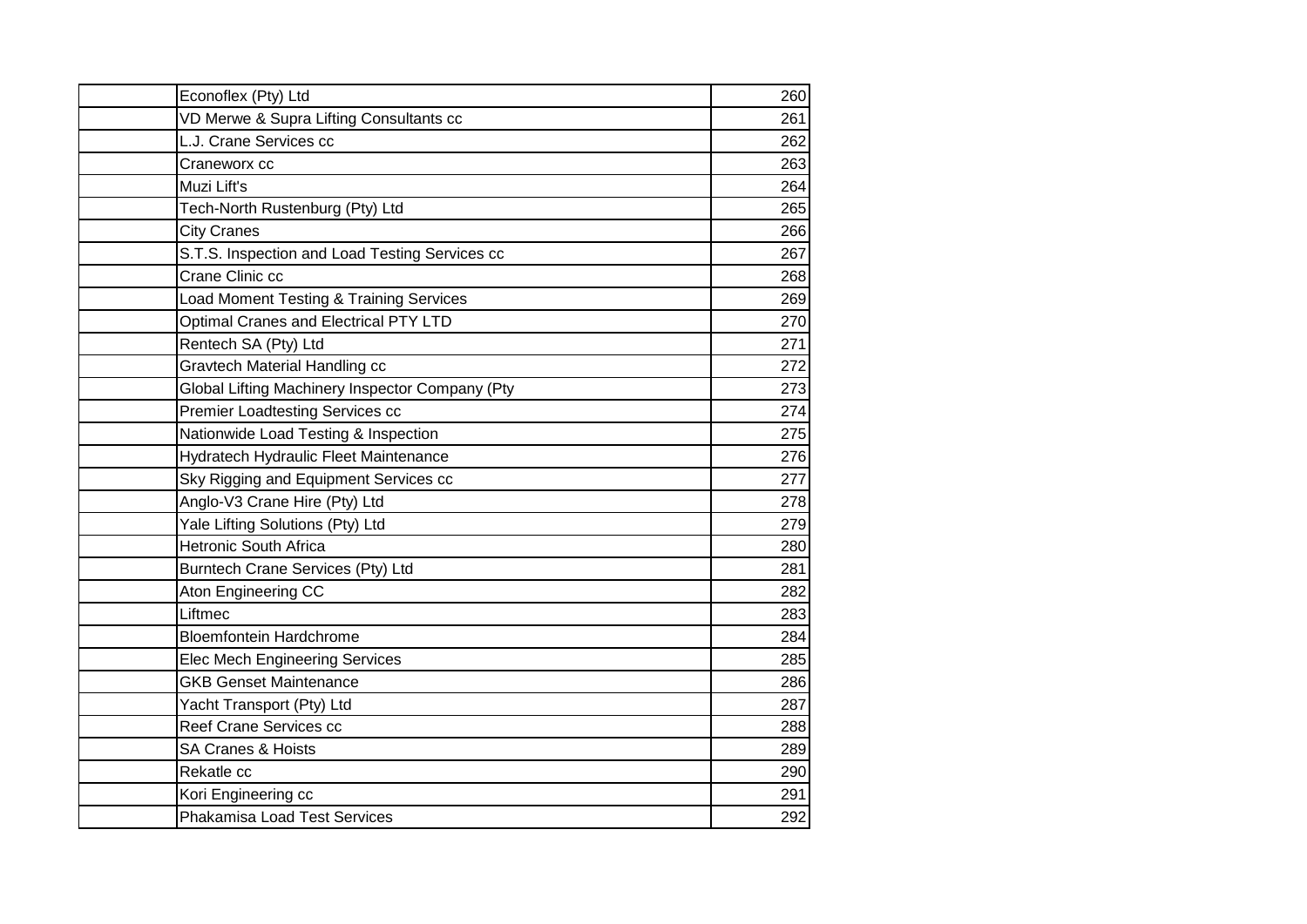| Econoflex (Pty) Ltd                             | 260 |
|-------------------------------------------------|-----|
| VD Merwe & Supra Lifting Consultants cc         | 261 |
| L.J. Crane Services cc                          | 262 |
| Craneworx cc                                    | 263 |
| Muzi Lift's                                     | 264 |
| Tech-North Rustenburg (Pty) Ltd                 | 265 |
| <b>City Cranes</b>                              | 266 |
| S.T.S. Inspection and Load Testing Services cc  | 267 |
| Crane Clinic cc                                 | 268 |
| Load Moment Testing & Training Services         | 269 |
| Optimal Cranes and Electrical PTY LTD           | 270 |
| Rentech SA (Pty) Ltd                            | 271 |
| <b>Gravtech Material Handling cc</b>            | 272 |
| Global Lifting Machinery Inspector Company (Pty | 273 |
| Premier Loadtesting Services cc                 | 274 |
| Nationwide Load Testing & Inspection            | 275 |
| Hydratech Hydraulic Fleet Maintenance           | 276 |
| Sky Rigging and Equipment Services cc           | 277 |
| Anglo-V3 Crane Hire (Pty) Ltd                   | 278 |
| Yale Lifting Solutions (Pty) Ltd                | 279 |
| <b>Hetronic South Africa</b>                    | 280 |
| Burntech Crane Services (Pty) Ltd               | 281 |
| Aton Engineering CC                             | 282 |
| Liftmec                                         | 283 |
| <b>Bloemfontein Hardchrome</b>                  | 284 |
| <b>Elec Mech Engineering Services</b>           | 285 |
| <b>GKB Genset Maintenance</b>                   | 286 |
| Yacht Transport (Pty) Ltd                       | 287 |
| Reef Crane Services cc                          | 288 |
| <b>SA Cranes &amp; Hoists</b>                   | 289 |
| Rekatle cc                                      | 290 |
| Kori Engineering cc                             | 291 |
| <b>Phakamisa Load Test Services</b>             | 292 |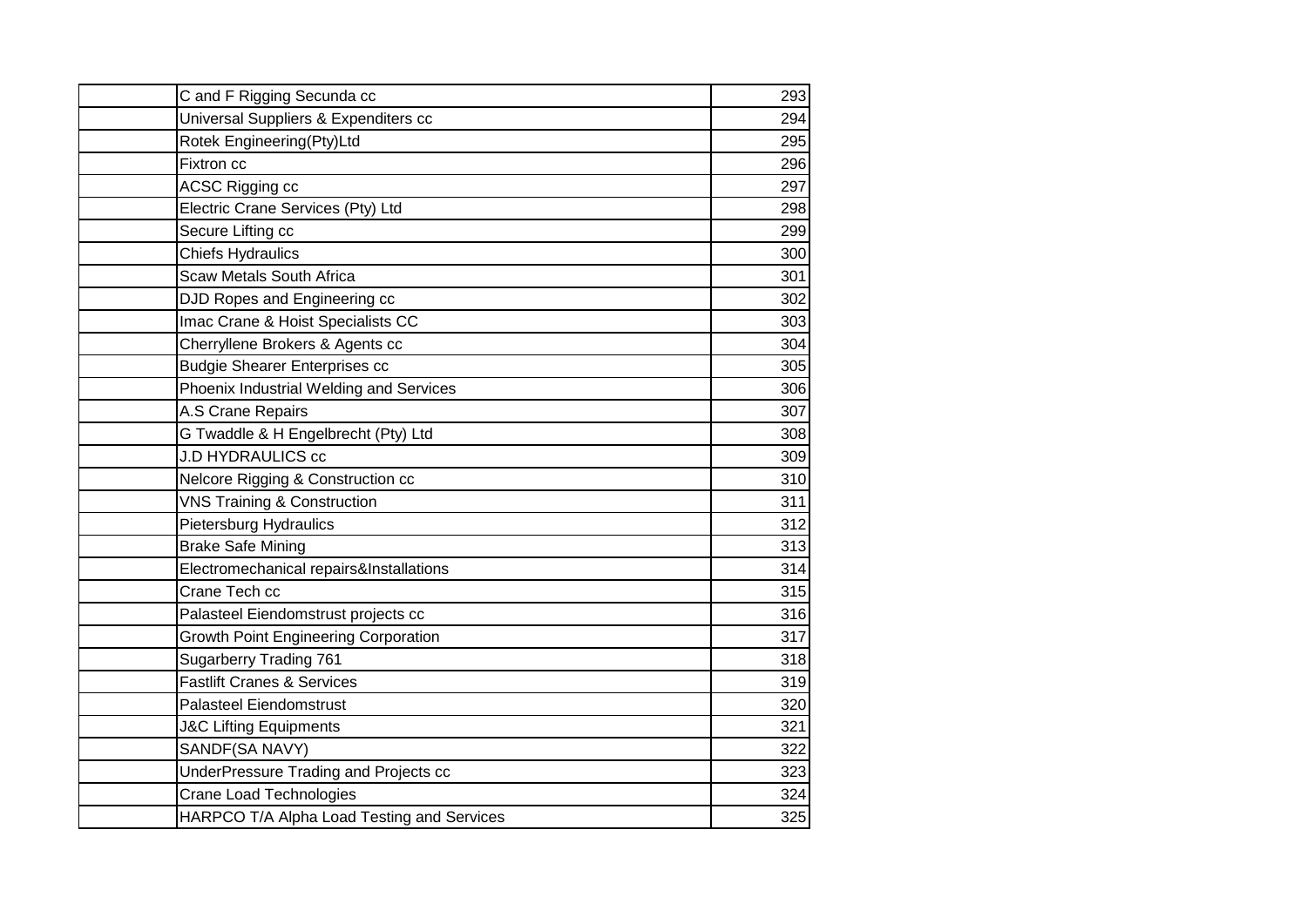| C and F Rigging Secunda cc                  | 293 |
|---------------------------------------------|-----|
| Universal Suppliers & Expenditers cc        | 294 |
| Rotek Engineering(Pty)Ltd                   | 295 |
| Fixtron cc                                  | 296 |
| ACSC Rigging cc                             | 297 |
| Electric Crane Services (Pty) Ltd           | 298 |
| Secure Lifting cc                           | 299 |
| <b>Chiefs Hydraulics</b>                    | 300 |
| <b>Scaw Metals South Africa</b>             | 301 |
| DJD Ropes and Engineering cc                | 302 |
| Imac Crane & Hoist Specialists CC           | 303 |
| Cherryllene Brokers & Agents cc             | 304 |
| <b>Budgie Shearer Enterprises cc</b>        | 305 |
| Phoenix Industrial Welding and Services     | 306 |
| A.S Crane Repairs                           | 307 |
| G Twaddle & H Engelbrecht (Pty) Ltd         | 308 |
| <b>J.D HYDRAULICS cc</b>                    | 309 |
| Nelcore Rigging & Construction cc           | 310 |
| <b>VNS Training &amp; Construction</b>      | 311 |
| Pietersburg Hydraulics                      | 312 |
| <b>Brake Safe Mining</b>                    | 313 |
| Electromechanical repairs&Installations     | 314 |
| Crane Tech cc                               | 315 |
| Palasteel Eiendomstrust projects cc         | 316 |
| <b>Growth Point Engineering Corporation</b> | 317 |
| <b>Sugarberry Trading 761</b>               | 318 |
| <b>Fastlift Cranes &amp; Services</b>       | 319 |
| <b>Palasteel Eiendomstrust</b>              | 320 |
| <b>J&amp;C Lifting Equipments</b>           | 321 |
| SANDF(SA NAVY)                              | 322 |
| UnderPressure Trading and Projects cc       | 323 |
| <b>Crane Load Technologies</b>              | 324 |
| HARPCO T/A Alpha Load Testing and Services  | 325 |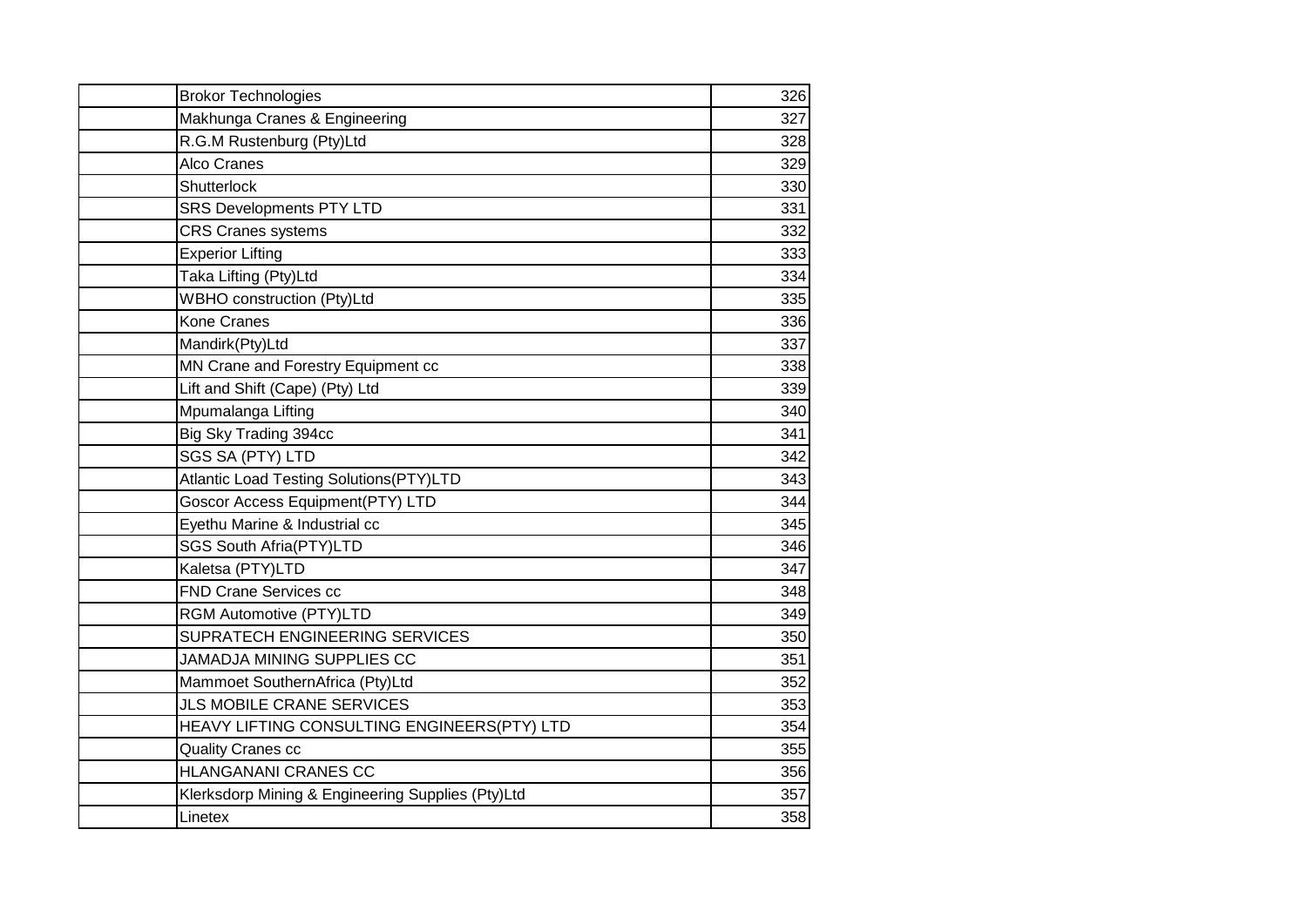| <b>Brokor Technologies</b>                        | 326 |
|---------------------------------------------------|-----|
| Makhunga Cranes & Engineering                     | 327 |
| R.G.M Rustenburg (Pty)Ltd                         | 328 |
| <b>Alco Cranes</b>                                | 329 |
| Shutterlock                                       | 330 |
| <b>SRS Developments PTY LTD</b>                   | 331 |
| <b>CRS Cranes systems</b>                         | 332 |
| <b>Experior Lifting</b>                           | 333 |
| Taka Lifting (Pty)Ltd                             | 334 |
| <b>WBHO</b> construction (Pty)Ltd                 | 335 |
| <b>Kone Cranes</b>                                | 336 |
| Mandirk(Pty)Ltd                                   | 337 |
| MN Crane and Forestry Equipment cc                | 338 |
| Lift and Shift (Cape) (Pty) Ltd                   | 339 |
| Mpumalanga Lifting                                | 340 |
| Big Sky Trading 394cc                             | 341 |
| SGS SA (PTY) LTD                                  | 342 |
| <b>Atlantic Load Testing Solutions(PTY)LTD</b>    | 343 |
| Goscor Access Equipment(PTY) LTD                  | 344 |
| Eyethu Marine & Industrial cc                     | 345 |
| <b>SGS South Afria(PTY)LTD</b>                    | 346 |
| Kaletsa (PTY)LTD                                  | 347 |
| <b>FND Crane Services cc</b>                      | 348 |
| RGM Automotive (PTY)LTD                           | 349 |
| SUPRATECH ENGINEERING SERVICES                    | 350 |
| <b>JAMADJA MINING SUPPLIES CC</b>                 | 351 |
| Mammoet SouthernAfrica (Pty)Ltd                   | 352 |
| <b>JLS MOBILE CRANE SERVICES</b>                  | 353 |
| HEAVY LIFTING CONSULTING ENGINEERS(PTY) LTD       | 354 |
| <b>Quality Cranes cc</b>                          | 355 |
| <b>HLANGANANI CRANES CC</b>                       | 356 |
| Klerksdorp Mining & Engineering Supplies (Pty)Ltd | 357 |
| Linetex                                           | 358 |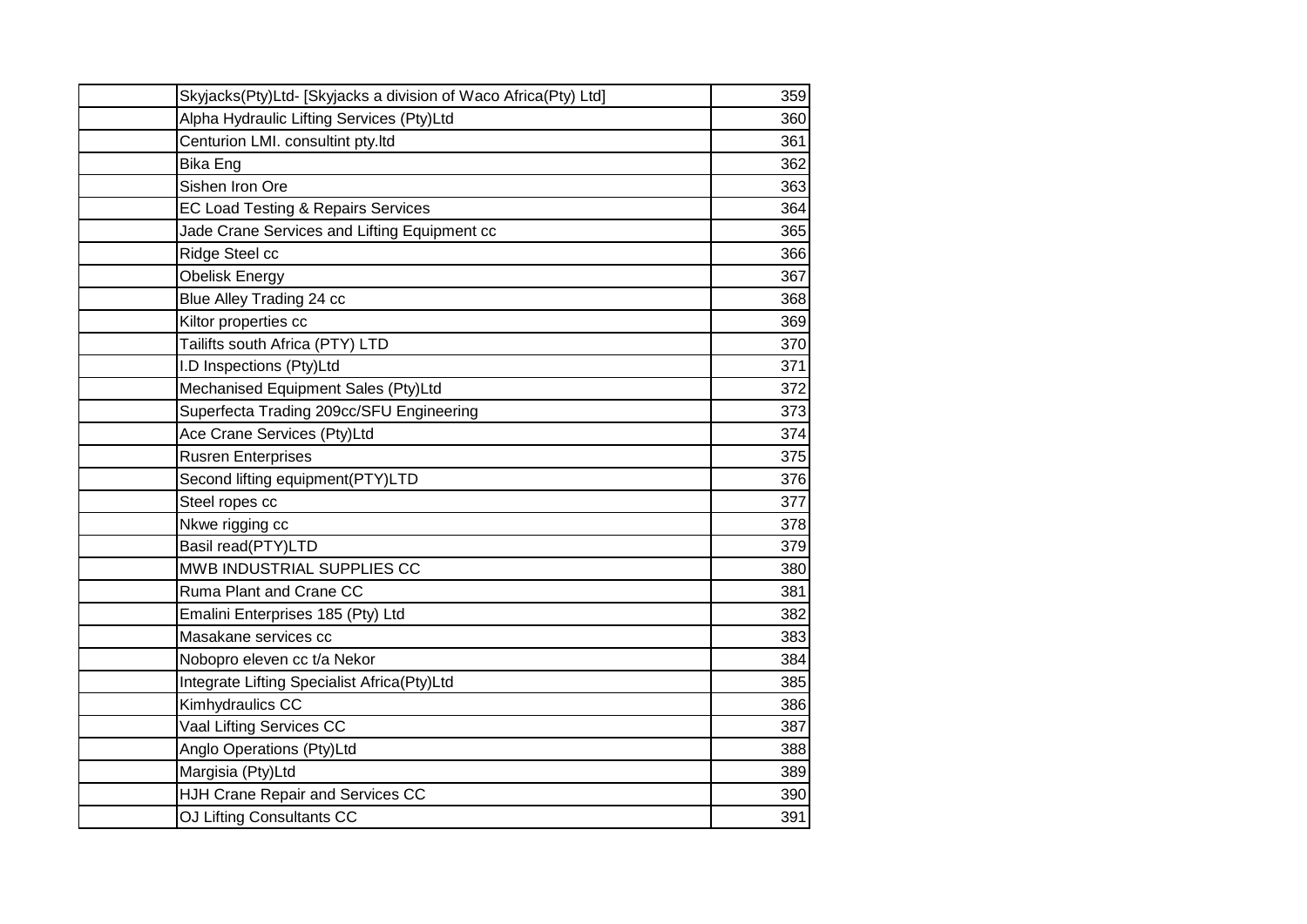| Skyjacks(Pty)Ltd- [Skyjacks a division of Waco Africa(Pty) Ltd] | 359 |
|-----------------------------------------------------------------|-----|
| Alpha Hydraulic Lifting Services (Pty)Ltd                       | 360 |
| Centurion LMI. consultint pty.ltd                               | 361 |
| <b>Bika Eng</b>                                                 | 362 |
| Sishen Iron Ore                                                 | 363 |
| <b>EC Load Testing &amp; Repairs Services</b>                   | 364 |
| Jade Crane Services and Lifting Equipment cc                    | 365 |
| Ridge Steel cc                                                  | 366 |
| <b>Obelisk Energy</b>                                           | 367 |
| Blue Alley Trading 24 cc                                        | 368 |
| Kiltor properties cc                                            | 369 |
| Tailifts south Africa (PTY) LTD                                 | 370 |
| I.D Inspections (Pty)Ltd                                        | 371 |
| Mechanised Equipment Sales (Pty)Ltd                             | 372 |
| Superfecta Trading 209cc/SFU Engineering                        | 373 |
| Ace Crane Services (Pty)Ltd                                     | 374 |
| <b>Rusren Enterprises</b>                                       | 375 |
| Second lifting equipment(PTY)LTD                                | 376 |
| Steel ropes cc                                                  | 377 |
| Nkwe rigging cc                                                 | 378 |
| Basil read(PTY)LTD                                              | 379 |
| MWB INDUSTRIAL SUPPLIES CC                                      | 380 |
| Ruma Plant and Crane CC                                         | 381 |
| Emalini Enterprises 185 (Pty) Ltd                               | 382 |
| Masakane services cc                                            | 383 |
| Nobopro eleven cc t/a Nekor                                     | 384 |
| Integrate Lifting Specialist Africa(Pty)Ltd                     | 385 |
| Kimhydraulics CC                                                | 386 |
| Vaal Lifting Services CC                                        | 387 |
| Anglo Operations (Pty)Ltd                                       | 388 |
| Margisia (Pty)Ltd                                               | 389 |
| HJH Crane Repair and Services CC                                | 390 |
| OJ Lifting Consultants CC                                       | 391 |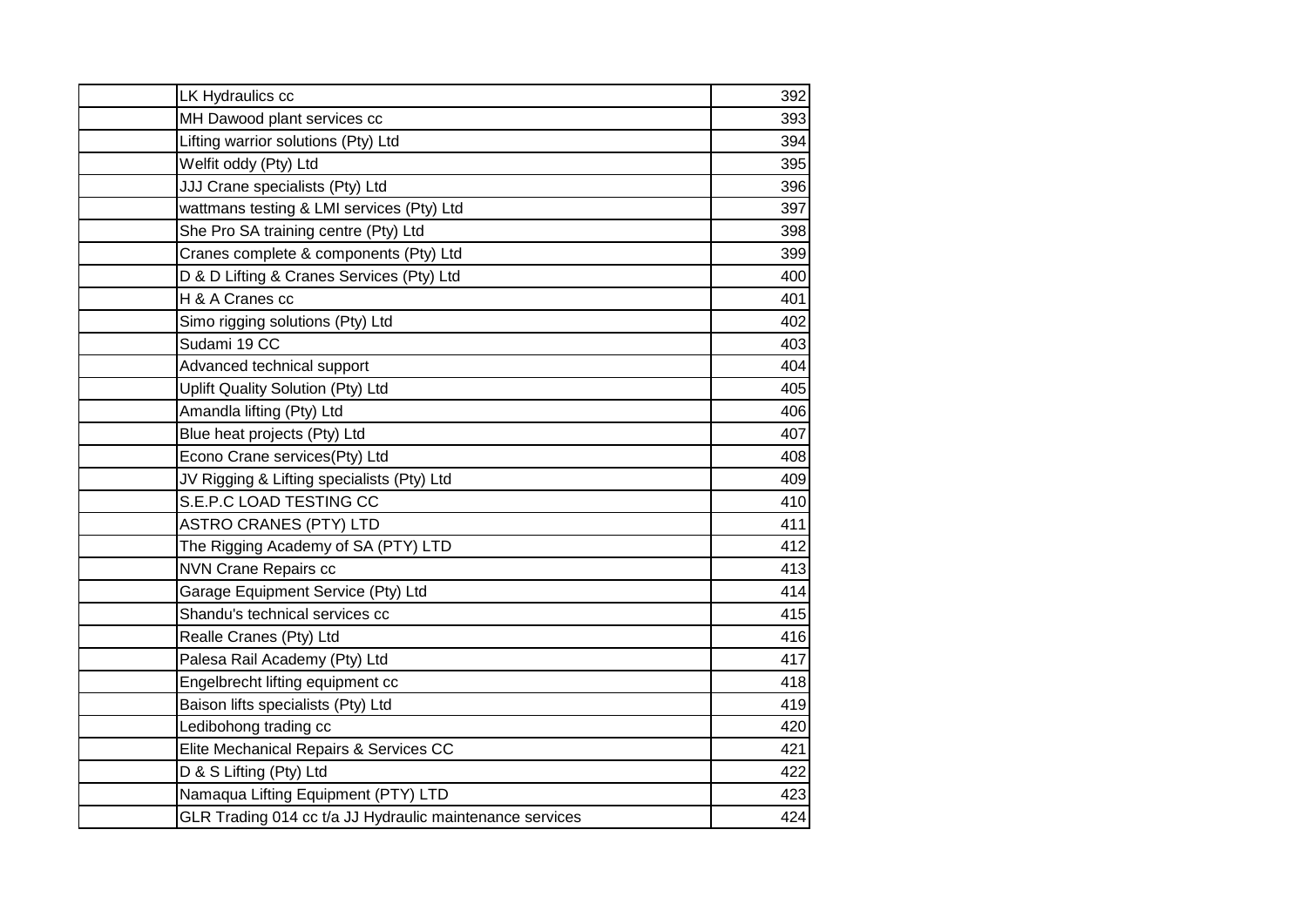| LK Hydraulics cc                                         | 392 |
|----------------------------------------------------------|-----|
| MH Dawood plant services cc                              | 393 |
| Lifting warrior solutions (Pty) Ltd                      | 394 |
| Welfit oddy (Pty) Ltd                                    | 395 |
| JJJ Crane specialists (Pty) Ltd                          | 396 |
| wattmans testing & LMI services (Pty) Ltd                | 397 |
| She Pro SA training centre (Pty) Ltd                     | 398 |
| Cranes complete & components (Pty) Ltd                   | 399 |
| D & D Lifting & Cranes Services (Pty) Ltd                | 400 |
| H & A Cranes cc                                          | 401 |
| Simo rigging solutions (Pty) Ltd                         | 402 |
| Sudami 19 CC                                             | 403 |
| Advanced technical support                               | 404 |
| Uplift Quality Solution (Pty) Ltd                        | 405 |
| Amandla lifting (Pty) Ltd                                | 406 |
| Blue heat projects (Pty) Ltd                             | 407 |
| Econo Crane services(Pty) Ltd                            | 408 |
| JV Rigging & Lifting specialists (Pty) Ltd               | 409 |
| S.E.P.C LOAD TESTING CC                                  | 410 |
| <b>ASTRO CRANES (PTY) LTD</b>                            | 411 |
| The Rigging Academy of SA (PTY) LTD                      | 412 |
| <b>NVN Crane Repairs cc</b>                              | 413 |
| Garage Equipment Service (Pty) Ltd                       | 414 |
| Shandu's technical services cc                           | 415 |
| Realle Cranes (Pty) Ltd                                  | 416 |
| Palesa Rail Academy (Pty) Ltd                            | 417 |
| Engelbrecht lifting equipment cc                         | 418 |
| Baison lifts specialists (Pty) Ltd                       | 419 |
| Ledibohong trading cc                                    | 420 |
| Elite Mechanical Repairs & Services CC                   | 421 |
| D & S Lifting (Pty) Ltd                                  | 422 |
| Namaqua Lifting Equipment (PTY) LTD                      | 423 |
| GLR Trading 014 cc t/a JJ Hydraulic maintenance services | 424 |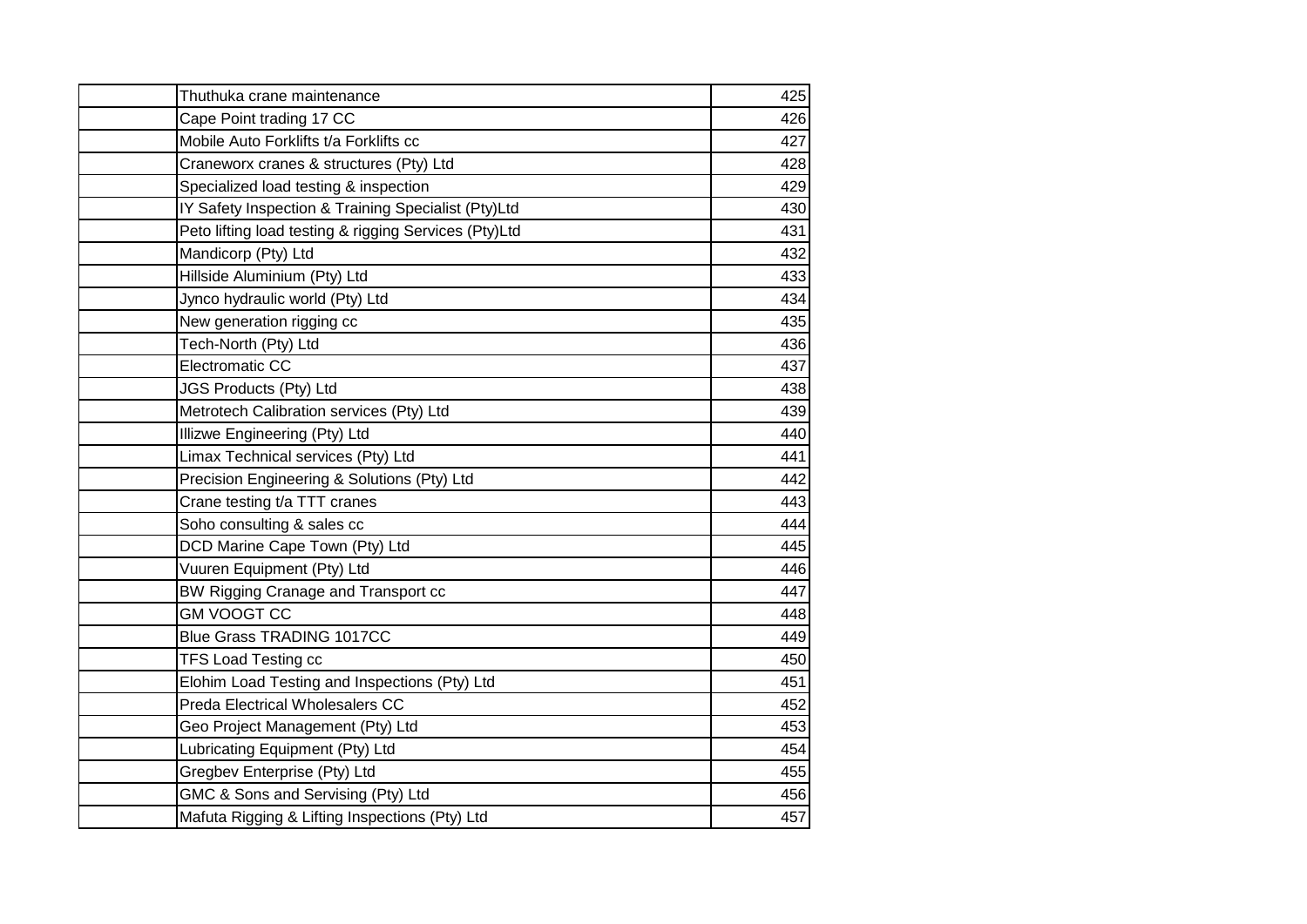| Thuthuka crane maintenance                            | 425 |
|-------------------------------------------------------|-----|
| Cape Point trading 17 CC                              | 426 |
| Mobile Auto Forklifts t/a Forklifts cc                | 427 |
| Craneworx cranes & structures (Pty) Ltd               | 428 |
| Specialized load testing & inspection                 | 429 |
| IY Safety Inspection & Training Specialist (Pty)Ltd   | 430 |
| Peto lifting load testing & rigging Services (Pty)Ltd | 431 |
| Mandicorp (Pty) Ltd                                   | 432 |
| Hillside Aluminium (Pty) Ltd                          | 433 |
| Jynco hydraulic world (Pty) Ltd                       | 434 |
| New generation rigging cc                             | 435 |
| Tech-North (Pty) Ltd                                  | 436 |
| Electromatic CC                                       | 437 |
| JGS Products (Pty) Ltd                                | 438 |
| Metrotech Calibration services (Pty) Ltd              | 439 |
| Illizwe Engineering (Pty) Ltd                         | 440 |
| Limax Technical services (Pty) Ltd                    | 441 |
| Precision Engineering & Solutions (Pty) Ltd           | 442 |
| Crane testing t/a TTT cranes                          | 443 |
| Soho consulting & sales cc                            | 444 |
| DCD Marine Cape Town (Pty) Ltd                        | 445 |
| Vuuren Equipment (Pty) Ltd                            | 446 |
| BW Rigging Cranage and Transport cc                   | 447 |
| <b>GM VOOGT CC</b>                                    | 448 |
| <b>Blue Grass TRADING 1017CC</b>                      | 449 |
| <b>TFS Load Testing cc</b>                            | 450 |
| Elohim Load Testing and Inspections (Pty) Ltd         | 451 |
| <b>Preda Electrical Wholesalers CC</b>                | 452 |
| Geo Project Management (Pty) Ltd                      | 453 |
| Lubricating Equipment (Pty) Ltd                       | 454 |
| Gregbev Enterprise (Pty) Ltd                          | 455 |
| GMC & Sons and Servising (Pty) Ltd                    | 456 |
| Mafuta Rigging & Lifting Inspections (Pty) Ltd        | 457 |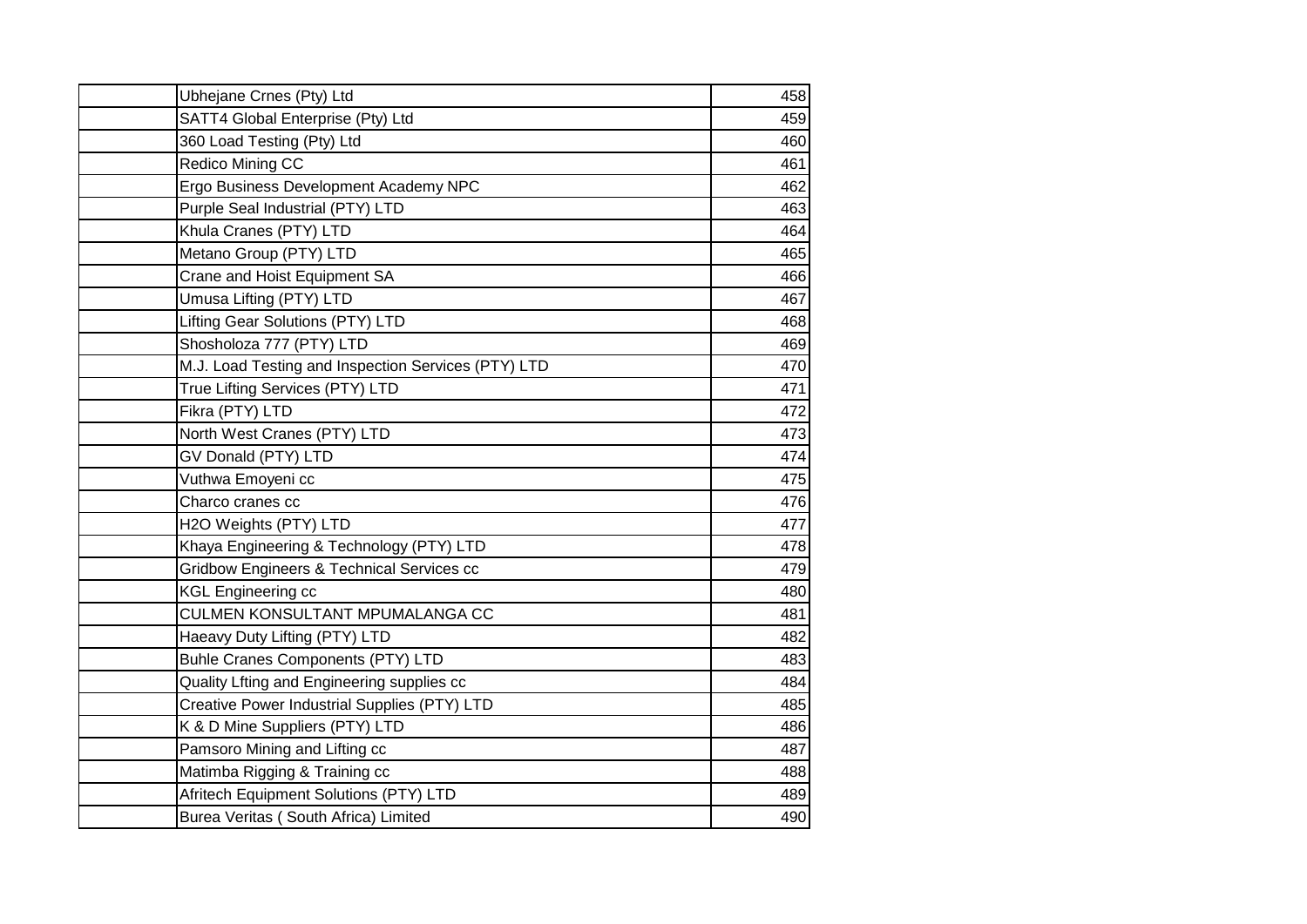| Ubhejane Crnes (Pty) Ltd                             | 458 |
|------------------------------------------------------|-----|
| SATT4 Global Enterprise (Pty) Ltd                    | 459 |
| 360 Load Testing (Pty) Ltd                           | 460 |
| Redico Mining CC                                     | 461 |
| Ergo Business Development Academy NPC                | 462 |
| Purple Seal Industrial (PTY) LTD                     | 463 |
| Khula Cranes (PTY) LTD                               | 464 |
| Metano Group (PTY) LTD                               | 465 |
| Crane and Hoist Equipment SA                         | 466 |
| Umusa Lifting (PTY) LTD                              | 467 |
| Lifting Gear Solutions (PTY) LTD                     | 468 |
| Shosholoza 777 (PTY) LTD                             | 469 |
| M.J. Load Testing and Inspection Services (PTY) LTD  | 470 |
| True Lifting Services (PTY) LTD                      | 471 |
| Fikra (PTY) LTD                                      | 472 |
| North West Cranes (PTY) LTD                          | 473 |
| GV Donald (PTY) LTD                                  | 474 |
| Vuthwa Emoyeni cc                                    | 475 |
| Charco cranes cc                                     | 476 |
| H2O Weights (PTY) LTD                                | 477 |
| Khaya Engineering & Technology (PTY) LTD             | 478 |
| <b>Gridbow Engineers &amp; Technical Services cc</b> | 479 |
| <b>KGL Engineering cc</b>                            | 480 |
| CULMEN KONSULTANT MPUMALANGA CC                      | 481 |
| Haeavy Duty Lifting (PTY) LTD                        | 482 |
| Buhle Cranes Components (PTY) LTD                    | 483 |
| Quality Lfting and Engineering supplies cc           | 484 |
| Creative Power Industrial Supplies (PTY) LTD         | 485 |
| K & D Mine Suppliers (PTY) LTD                       | 486 |
| Pamsoro Mining and Lifting cc                        | 487 |
| Matimba Rigging & Training cc                        | 488 |
| Afritech Equipment Solutions (PTY) LTD               | 489 |
| Burea Veritas (South Africa) Limited                 | 490 |